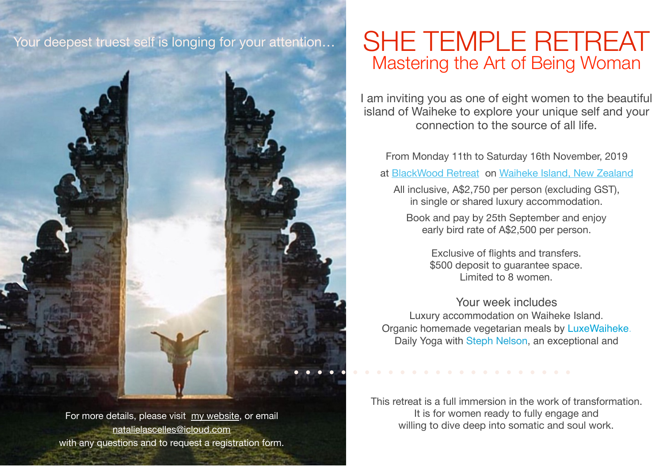## Your deepest truest self is longing for your attention…





SHE TEMPLE RETREAT Mastering the Art of Being Woman

I am inviting you as one of eight women to the beautiful island of Waiheke to explore your unique self and your connection to the source of all life.

From Monday 11th to Saturday 16th November, 2019

at [BlackWood Retreat](https://www.staywaiheke.com/holiday-homes/waiheke-island/little-oneroa/blackwood-retreat) on [Waiheke Island, New Zealand](https://www.youtube.com/watch?v=InrNDeDsGeA&sns=em)

All inclusive, A\$2,750 per person (excluding GST), in single or shared luxury accommodation.

Book and pay by 25th September and enjoy early bird rate of A\$2,500 per person.

> Exclusive of flights and transfers. \$500 deposit to guarantee space. Limited to 8 women.

Your week includes Luxury accommodation on Waiheke Island. Organic homemade vegetarian meals by [LuxeWaiheke](https://www.luxewaiheke.co.nz). Daily Yoga with [Steph Nelson](http://www.thebreathingspace.co.nz/teachers/stephanie-nelson/), an exceptional and

This retreat is a full immersion in the work of transformation. It is for women ready to fully engage and willing to dive deep into somatic and soul work.

For more details, please visit [my website,](https://www.natalielascelles.com) or email [natalielascelles@icloud.com](mailto:natalielascelles@icloud.com) with any questions and to request a registration form.